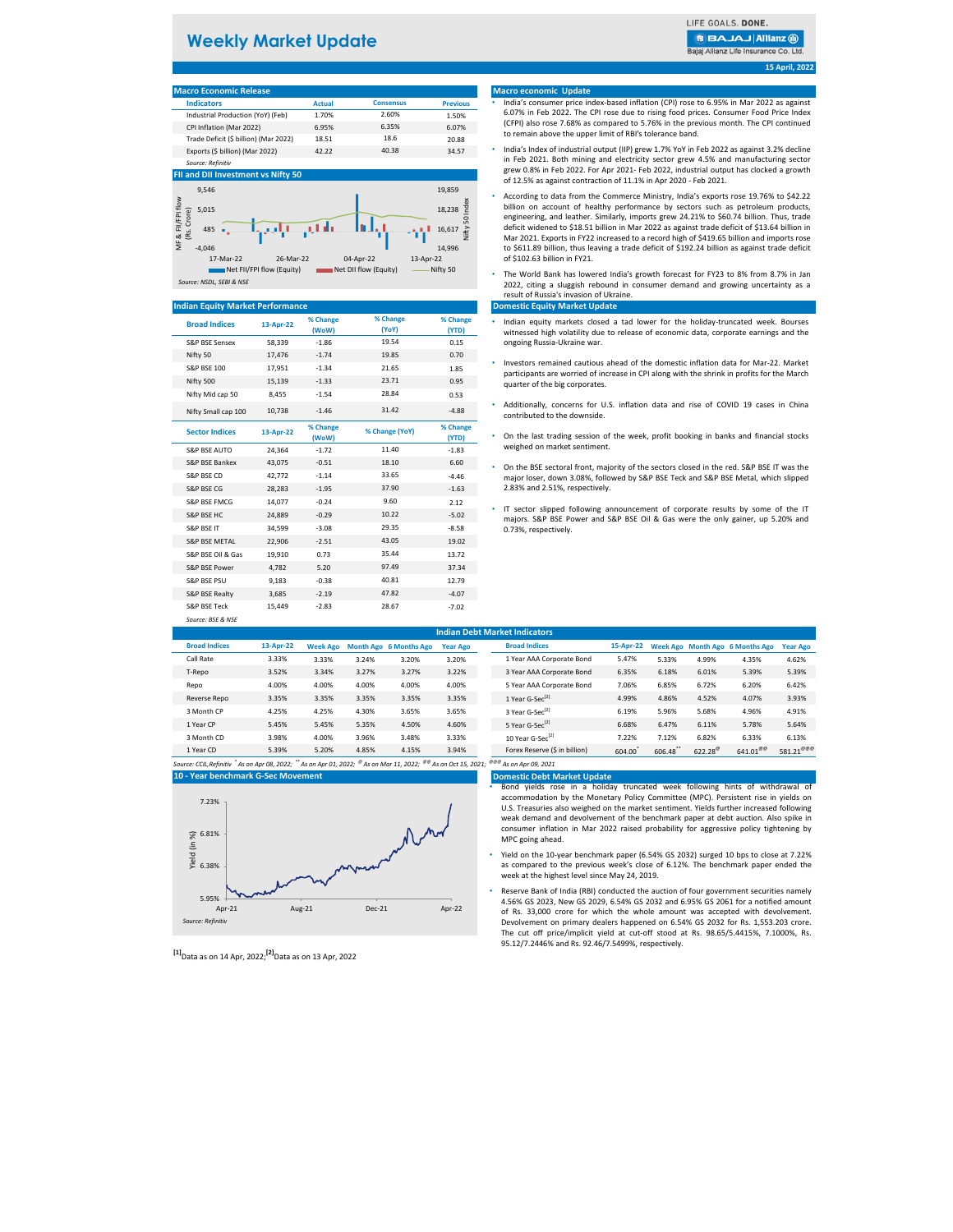# **Weekly Market Update**

LIFE GOALS, DONE.

**BBAJAJ Allianz @** 

Bajaj Allianz Life Insurance Co. Ltd

#### **15 April, 2022**

# **Macro Economic Release**

| <b>IVIGUIO LUDITOITIIU INCICASC</b>   |               |                  |                 |
|---------------------------------------|---------------|------------------|-----------------|
| <b>Indicators</b>                     | <b>Actual</b> | <b>Consensus</b> | <b>Previous</b> |
| Industrial Production (YoY) (Feb)     | 1.70%         | 2.60%            | 1.50%           |
| CPI Inflation (Mar 2022)              | 6.95%         | 6.35%            | 6.07%           |
| Trade Deficit (\$ billion) (Mar 2022) | 18.51         | 18.6             | 20.88           |
| Exports (\$ billion) (Mar 2022)       | 42.22         | 40.38            | 34.57           |
| Source: Refinitiv                     |               |                  |                 |

#### **FII and DII Invest**



#### **Indian Equity Market Performance**

| <b>Broad Indices</b>      | 13-Apr-22 | % Change<br>(WoW) | % Change<br>(YoY) | % Change<br>(YTD) |
|---------------------------|-----------|-------------------|-------------------|-------------------|
| <b>S&amp;P BSE Sensex</b> | 58,339    | $-1.86$           | 19.54             | 0.15              |
| Nifty 50                  | 17.476    | $-1.74$           | 19.85             | 0.70              |
| <b>S&amp;P BSE 100</b>    | 17.951    | $-1.34$           | 21.65             | 1.85              |
| Nifty 500                 | 15.139    | $-1.33$           | 23.71             | 0.95              |
| Nifty Mid cap 50          | 8,455     | $-1.54$           | 28.84             | 0.53              |
| Nifty Small cap 100       | 10,738    | $-1.46$           | 31.42             | $-4.88$           |
| <b>Sector Indices</b>     | 13-Apr-22 | % Change<br>(WoW) | % Change (YoY)    | % Change<br>(YTD) |
| S&P RSF AUTO              | 24.364    | $-1.72$           | 11.40             | $-1.83$           |
| S&P BSE Bankex            | 43,075    | $-0.51$           | 18.10             | 6.60              |
| S&P BSE CD                | 42.772    | $-1.14$           | 33.65             | $-4.46$           |
| S&P BSE CG                | 28,283    | $-1.95$           | 37.90             | $-1.63$           |
| S&P BSE FMCG              | 14,077    | $-0.24$           | 9.60              | 2.12              |
| S&P BSF HC                | 24.889    | $-0.29$           | 10.22             | $-5.02$           |
| S&P BSE IT                | 34,599    | $-3.08$           | 29.35             | $-8.58$           |
| <b>S&amp;P BSE METAL</b>  | 22.906    | $-2.51$           | 43.05             | 19.02             |
| S&P BSE Oil & Gas         | 19,910    | 0.73              | 35.44             | 13.72             |
| S&P BSE Power             | 4,782     | 5.20              | 97.49             | 37.34             |
| <b>S&amp;P BSE PSU</b>    | 9.183     | $-0.38$           | 40.81             | 12.79             |
| <b>S&amp;P BSE Realty</b> | 3,685     | $-2.19$           | 47.82             | $-4.07$           |
| <b>S&amp;P BSE Teck</b>   | 15.449    | $-2.83$           | 28.67             | $-7.02$           |

*Source: BSE & NSE*

# S&P BSE FMCG 14,077 -0.24 2.12 • IT sector slipped following announcement of corporate results by some of the IT 0.73%, respectively.

| <b>Indian Debt Market Indicators</b> |           |                 |       |                               |                 |  |                               |           |         |                  |                                 |                       |
|--------------------------------------|-----------|-----------------|-------|-------------------------------|-----------------|--|-------------------------------|-----------|---------|------------------|---------------------------------|-----------------------|
| <b>Broad Indices</b>                 | 13-Apr-22 | <b>Week Ago</b> |       | <b>Month Ago 6 Months Ago</b> | <b>Year Ago</b> |  | <b>Broad Indices</b>          | 15-Apr-22 |         |                  | Week Ago Month Ago 6 Months Ago | <b>Year Ago</b>       |
| Call Rate                            | 3.33%     | 3.33%           | 3.24% | 3.20%                         | 3.20%           |  | 1 Year AAA Corporate Bond     | 5.47%     | 5.33%   | 4.99%            | 4.35%                           | 4.62%                 |
| T-Repo                               | 3.52%     | 3.34%           | 3.27% | 3.27%                         | 3.22%           |  | 3 Year AAA Corporate Bond     | 6.35%     | 6.18%   | 6.01%            | 5.39%                           | 5.39%                 |
| Repo                                 | 4.00%     | 4.00%           | 4.00% | 4.00%                         | 4.00%           |  | 5 Year AAA Corporate Bond     | 7.06%     | 6.85%   | 6.72%            | 6.20%                           | 6.42%                 |
| Reverse Repo                         | 3.35%     | 3.35%           | 3.35% | 3.35%                         | 3.35%           |  | 1 Year G-Sec <sup>[2]</sup>   | 4.99%     | 4.86%   | 4.52%            | 4.07%                           | 3.93%                 |
| 3 Month CP                           | 4.25%     | 4.25%           | 4.30% | 3.65%                         | 3.65%           |  | 3 Year G-Sec <sup>[2]</sup>   | 6.19%     | 5.96%   | 5.68%            | 4.96%                           | 4.91%                 |
| 1 Year CP                            | 5.45%     | 5.45%           | 5.35% | 4.50%                         | 4.60%           |  | 5 Year G-Sec <sup>[2]</sup>   | 6.68%     | 6.47%   | 6.11%            | 5.78%                           | 5.64%                 |
| 3 Month CD                           | 3.98%     | 4.00%           | 3.96% | 3.48%                         | 3.33%           |  | 10 Year G-Sec <sup>[2]</sup>  | 7.22%     | 7.12%   | 6.82%            | 6.33%                           | 6.13%                 |
| 1 Year CD                            | 5.39%     | 5.20%           | 4.85% | 4.15%                         | 3.94%           |  | Forex Reserve (\$ in billion) | 604.00    | 606.48" | $622.28^{\circ}$ | $641.01^{\circ\circ}$           | 581.21 <sup>@@@</sup> |

*Source: CCIL,Refinitiv \* As on Apr 08, 2022; \*\* As on Apr 01, 2022; @ As on Mar 11, 2022; @@ As on Oct 15, 2021; @@@ As on Apr 09, 2021* **10 - Year benchmark G-Sec Movement**



| <sup>[1]</sup> Data as on 14 Apr, 2022; <sup>[2]</sup> Data as on 13 Apr, 2022 |
|--------------------------------------------------------------------------------|
|--------------------------------------------------------------------------------|

#### **Macro economic Update**

- India's consumer price index-based inflation (CPI) rose to 6.95% in Mar 2022 as against 6.07% in Feb 2022. The CPI rose due to rising food prices. Consumer Food Price Index (CFPI) also rose 7.68% as compared to 5.76% in the previous month. The CPI continued to remain above the upper limit of RBI's tolerance band.
- India's Index of industrial output (IIP) grew 1.7% YoY in Feb 2022 as against 3.2% decline in Feb 2021. Both mining and electricity sector grew 4.5% and manufacturing sector grew 0.8% in Feb 2022. For Apr 2021- Feb 2022, industrial output has clocked a growth of 12.5% as against contraction of 11.1% in Apr 2020 - Feb 2021.
- According to data from the Commerce Ministry, India's exports rose 19.76% to \$42.22 billion on account of healthy performance by sectors such as petroleum products, engineering, and leather. Similarly, imports grew 24.21% to \$60.74 billion. Thus, trade deficit widened to \$18.51 billion in Mar 2022 as against trade deficit of \$13.64 billion in Mar 2021. Exports in FY22 increased to a record high of \$419.65 billion and imports rose to \$611.89 billion, thus leaving a trade deficit of \$192.24 billion as against trade deficit of \$102.63 billion in FY21.
- The World Bank has lowered India's growth forecast for FY23 to 8% from 8.7% in Jan 2022, citing a sluggish rebound in consumer demand and growing uncertainty as a result of Russia's invasion of Ukraine.

#### **Domestic Equity Market Update**

- Indian equity markets closed a tad lower for the holiday-truncated week. Bourses witnessed high volatility due to release of economic data, corporate earnings and the ongoing Russia-Ukraine war.
- Investors remained cautious ahead of the domestic inflation data for Mar-22. Market participants are worried of increase in CPI along with the shrink in profits for the March quarter of the big corporates.
- Additionally, concerns for U.S. inflation data and rise of COVID 19 cases in China contributed to the downside.
- On the last trading session of the week, profit booking in banks and financial stocks weighed on market sentiment.
- On the BSE sectoral front, majority of the sectors closed in the red. S&P BSE IT was the major loser, down 3.08%, followed by S&P BSE Teck and S&P BSE Metal, which slipped 2.83% and 2.51%, respectively.
- majors. S&P BSE Power and S&P BSE Oil & Gas were the only gainer, up 5.20% and

| <b>Domestic Debt Market Updat</b> |  |  |  |
|-----------------------------------|--|--|--|

**Domestic Debt Market Update** • Bond yields rose in a holiday truncated week following hints of withdrawal of accommodation by the Monetary Policy Committee (MPC). Persistent rise in yields on U.S. Treasuries also weighed on the market sentiment. Yields further increased following weak demand and devolvement of the benchmark paper at debt auction. Also spike in consumer inflation in Mar 2022 raised probability for aggressive policy tightening by MPC going ahead.

- Yield on the 10-year benchmark paper (6.54% GS 2032) surged 10 bps to close at 7.22% as compared to the previous week's close of 6.12%. The benchmark paper ended the week at the highest level since May 24, 2019.
- Reserve Bank of India (RBI) conducted the auction of four government securities namely 4.56% GS 2023, New GS 2029, 6.54% GS 2032 and 6.95% GS 2061 for a notified amount of Rs. 33,000 crore for which the whole amount was accepted with devolvement. Devolvement on primary dealers happened on 6.54% GS 2032 for Rs. 1,553.203 crore. The cut off price/implicit yield at cut-off stood at Rs. 98.65/5.4415%, 7.1000%, Rs. 95.12/7.2446% and Rs. 92.46/7.5499%, respectively.